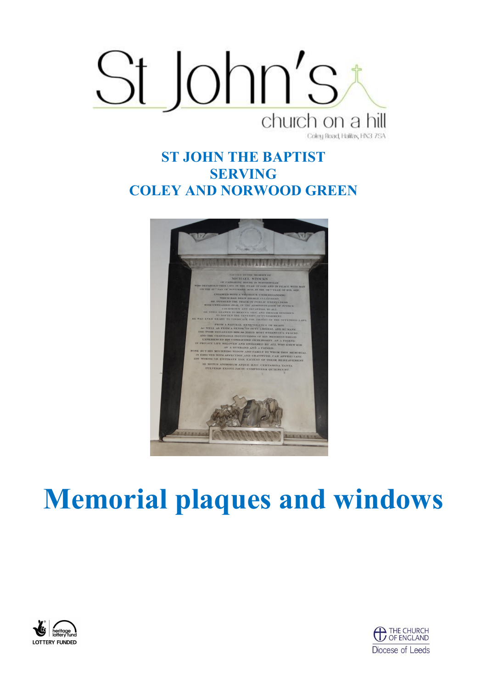

## **ST JOHN THE BAPTIST SERVING COLEY AND NORWOOD GREEN**



## **Memorial plaques and windows**



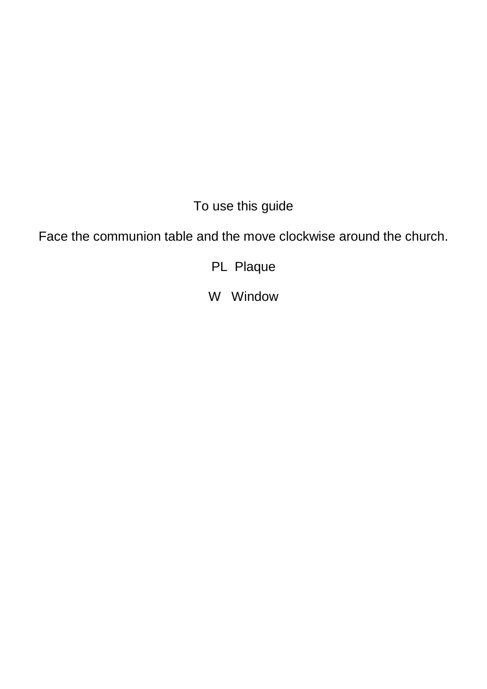To use this guide

Face the communion table and the move clockwise around the church.

PL Plaque

W Window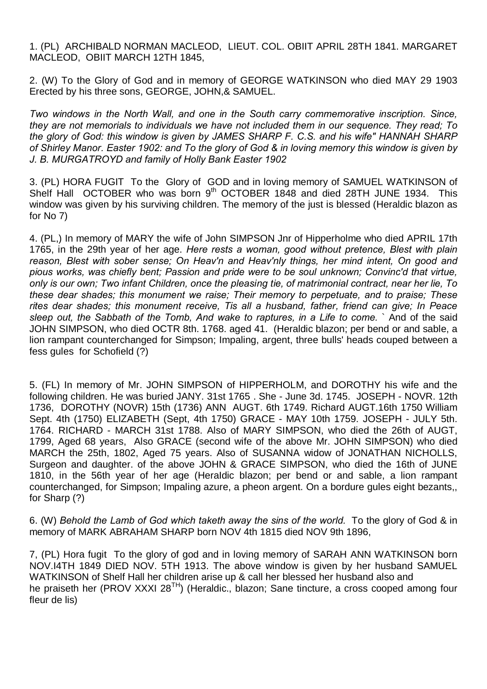1. (PL) ARCHIBALD NORMAN MACLEOD, LIEUT. COL. OBIIT APRIL 28TH 1841. MARGARET MACLEOD, OBIIT MARCH 12TH 1845,

2. (W) To the Glory of God and in memory of GEORGE WATKINSON who died MAY 29 1903 Erected by his three sons, GEORGE, JOHN,& SAMUEL.

*Two windows in the North Wall, and one in the South carry commemorative inscription. Since, they are not memorials to individuals we have not included them in our sequence. They read; To the glory of God: this window is given by JAMES SHARP F. C.S. and his wife" HANNAH SHARP of Shirley Manor. Easter 1902: and To the glory of God & in loving memory this window is given by J. B. MURGATROYD and family of Holly Bank Easter 1902*

3. (PL) HORA FUGIT To the Glory of GOD and in loving memory of SAMUEL WATKINSON of Shelf Hall OCTOBER who was born 9<sup>th</sup> OCTOBER 1848 and died 28TH JUNE 1934. This window was given by his surviving children. The memory of the just is blessed (Heraldic blazon as for No 7)

4. (PL,) In memory of MARY the wife of John SIMPSON Jnr of Hipperholme who died APRIL 17th 1765, in the 29th year of her age. *Here rests a woman, good without pretence, Blest with plain reason, Blest with sober sense; On Heav'n and Heav'nly things, her mind intent, On good and pious works, was chiefly bent; Passion and pride were to be soul unknown; Convinc'd that virtue, only is our own; Two infant Children, once the pleasing tie, of matrimonial contract, near her lie, To these dear shades; this monument we raise; Their memory to perpetuate, and to praise; These rites dear shades; this monument receive, Tis all a husband, father, friend can give; In Peace sleep out, the Sabbath of the Tomb, And wake to raptures, in a Life to come.* ` And of the said JOHN SIMPSON, who died OCTR 8th. 1768. aged 41. (Heraldic blazon; per bend or and sable, a lion rampant counterchanged for Simpson; Impaling, argent, three bulls' heads couped between a fess gules for Schofield (?)

5. (FL) In memory of Mr. JOHN SIMPSON of HIPPERHOLM, and DOROTHY his wife and the following children. He was buried JANY. 31st 1765 . She - June 3d. 1745. JOSEPH - NOVR. 12th 1736, DOROTHY (NOVR) 15th (1736) ANN AUGT. 6th 1749. Richard AUGT.16th 1750 William Sept. 4th (1750) ELIZABETH (Sept, 4th 1750) GRACE - MAY 10th 1759. JOSEPH - JULY 5th. 1764. RICHARD - MARCH 31st 1788. Also of MARY SIMPSON, who died the 26th of AUGT, 1799, Aged 68 years, Also GRACE (second wife of the above Mr. JOHN SIMPSON) who died MARCH the 25th, 1802, Aged 75 years. Also of SUSANNA widow of JONATHAN NICHOLLS, Surgeon and daughter. of the above JOHN & GRACE SIMPSON, who died the 16th of JUNE 1810, in the 56th year of her age (HeraIdic blazon; per bend or and sable, a lion rampant counterchanged, for Simpson; Impaling azure, a pheon argent. On a bordure gules eight bezants,, for Sharp (?)

6. (W) *Behold the Lamb of God which taketh away the sins of the world.* To the glory of God & in memory of MARK ABRAHAM SHARP born NOV 4th 1815 died NOV 9th 1896,

7, (PL) Hora fugit To the glory of god and in loving memory of SARAH ANN WATKINSON born NOV.I4TH 1849 DIED NOV. 5TH 1913. The above window is given by her husband SAMUEL WATKINSON of Shelf Hall her children arise up & call her blessed her husband also and he praiseth her (PROV XXXI 28<sup>TH</sup>) (Heraldic., blazon; Sane tincture, a cross cooped among four fleur de lis)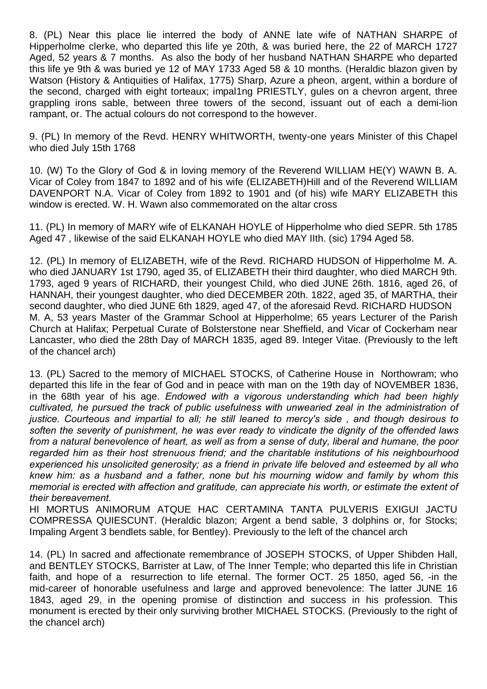8. (PL) Near this place lie interred the body of ANNE late wife of NATHAN SHARPE of Hipperholme clerke, who departed this life ye 20th, & was buried here, the 22 of MARCH 1727 Aged, 52 years & 7 months. As also the body of her husband NATHAN SHARPE who departed this life ye 9th & was buried ye 12 of MAY 1733 Aged 58 & 10 months. (Heraldic blazon given by Watson (History & Antiquities of Halifax, 1775) Sharp, Azure a pheon, argent, within a bordure of the second, charged with eight torteaux; impal1ng PRIESTLY, gules on a chevron argent, three grappling irons sable, between three towers of the second, issuant out of each a demi-lion rampant, or. The actual colours do not correspond to the however.

9. (PL) In memory of the Revd. HENRY WHITWORTH, twenty-one years Minister of this Chapel who died July 15th 1768

10. (W) To the Glory of God & in loving memory of the Reverend WILLIAM HE(Y) WAWN B. A. Vicar of Coley from 1847 to 1892 and of his wife (ELIZABETH)Hill and of the Reverend WILLIAM DAVENPORT N.A. Vicar of Coley from 1892 to 1901 and (of his) wife MARY ELIZABETH this window is erected. W. H. Wawn also commemorated on the altar cross

11. (PL) In memory of MARY wife of ELKANAH HOYLE of Hipperholme who died SEPR. 5th 1785 Aged 47 , likewise of the said ELKANAH HOYLE who died MAY IIth. (sic) 1794 Aged 58.

12. (PL) In memory of ELIZABETH, wife of the Revd. RICHARD HUDSON of Hipperholme M. A. who died JANUARY 1st 1790, aged 35, of ELIZABETH their third daughter, who died MARCH 9th. 1793, aged 9 years of RICHARD, their youngest Child, who died JUNE 26th. 1816, aged 26, of HANNAH, their youngest daughter, who died DECEMBER 20th. 1822, aged 35, of MARTHA, their second daughter, who died JUNE 6th 1829, aged 47, of the aforesaid Revd. RICHARD HUDSON M. A, 53 years Master of the Grammar School at Hipperholme; 65 years Lecturer of the Parish Church at Halifax; Perpetual Curate of Bolsterstone near Sheffield, and Vicar of Cockerham near Lancaster, who died the 28th Day of MARCH 1835, aged 89. Integer Vitae. (Previously to the left of the chancel arch)

13. (PL) Sacred to the memory of MICHAEL STOCKS, of Catherine House in Northowram; who departed this life in the fear of God and in peace with man on the 19th day of NOVEMBER 1836, in the 68th year of his age. *Endowed with a vigorous understanding which had been highly cultivated, he pursued the track of public usefulness with unwearied zeal in the administration of justice. Courteous and impartial to all; he still leaned to mercy's side , and though desirous to soften the severity of punishment, he was ever ready to vindicate the dignity of the offended laws from a natural benevolence of heart, as well as from a sense of duty, liberal and humane, the poor regarded him as their host strenuous friend; and the charitable institutions of his neighbourhood experienced his unsolicited generosity; as a friend in private life beloved and esteemed by all who knew him: as a husband and a father, none but his mourning widow and family by whom this memorial is erected with affection and gratitude, can appreciate his worth, or estimate the extent of their bereavement.* 

HI MORTUS ANIMORUM ATQUE HAC CERTAMINA TANTA PULVERIS EXIGUI JACTU COMPRESSA QUIESCUNT. (Heraldic blazon; Argent a bend sable, 3 dolphins or, for Stocks; Impaling Argent 3 bendlets sable, for Bentley). Previously to the left of the chancel arch

14. (PL) In sacred and affectionate remembrance of JOSEPH STOCKS, of Upper Shibden Hall, and BENTLEY STOCKS, Barrister at Law, of The Inner Temple; who departed this life in Christian faith, and hope of a resurrection to life eternal. The former OCT. 25 1850, aged 56, -in the mid-career of honorable usefulness and large and approved benevolence: The latter JUNE 16 1843, aged 29, in the opening promise of distinction and success in his profession. This monument is erected by their only surviving brother MICHAEL STOCKS. (Previously to the right of the chancel arch)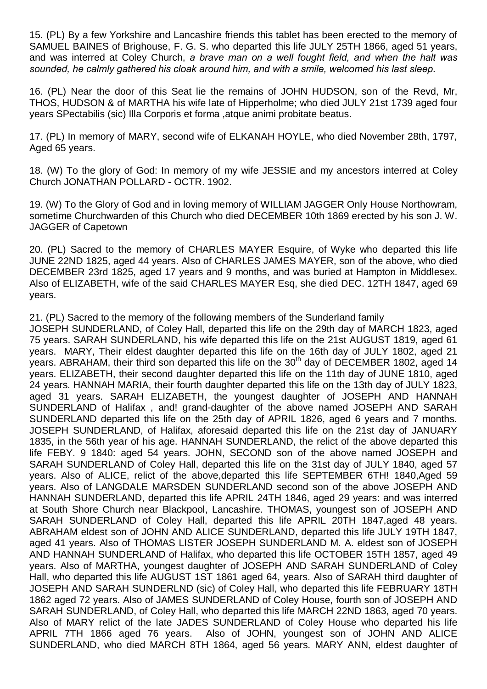15. (PL) By a few Yorkshire and Lancashire friends this tablet has been erected to the memory of SAMUEL BAINES of Brighouse, F. G. S. who departed this life JULY 25TH 1866, aged 51 years, and was interred at Coley Church, *a brave man on a well fought field, and when the halt was sounded, he calmly gathered his cloak around him, and with a smile, welcomed his last sleep.*

16. (PL) Near the door of this Seat lie the remains of JOHN HUDSON, son of the Revd, Mr, THOS, HUDSON & of MARTHA his wife late of Hipperholme; who died JULY 21st 1739 aged four years SPectabilis (sic) Illa Corporis et forma ,atque animi probitate beatus.

17. (PL) In memory of MARY, second wife of ELKANAH HOYLE, who died November 28th, 1797, Aged 65 years.

18. (W) To the glory of God: In memory of my wife JESSIE and my ancestors interred at Coley Church JONATHAN POLLARD - OCTR. 1902.

19. (W) To the Glory of God and in loving memory of WILLIAM JAGGER Only House Northowram, sometime Churchwarden of this Church who died DECEMBER 10th 1869 erected by his son J. W. JAGGER of Capetown

20. (PL) Sacred to the memory of CHARLES MAYER Esquire, of Wyke who departed this life JUNE 22ND 1825, aged 44 years. Also of CHARLES JAMES MAYER, son of the above, who died DECEMBER 23rd 1825, aged 17 years and 9 months, and was buried at Hampton in Middlesex. Also of ELIZABETH, wife of the said CHARLES MAYER Esq, she died DEC. 12TH 1847, aged 69 years.

21. (PL) Sacred to the memory of the following members of the Sunderland family

JOSEPH SUNDERLAND, of Coley Hall, departed this life on the 29th day of MARCH 1823, aged 75 years. SARAH SUNDERLAND, his wife departed this life on the 21st AUGUST 1819, aged 61 years. MARY, Their eldest daughter departed this life on the 16th day of JULY 1802, aged 21 years. ABRAHAM, their third son departed this life on the 30<sup>th</sup> day of DECEMBER 1802, aged 14 years. ELIZABETH, their second daughter departed this life on the 11th day of JUNE 1810, aged 24 years. HANNAH MARIA, their fourth daughter departed this life on the 13th day of JULY 1823, aged 31 years. SARAH ELIZABETH, the youngest daughter of JOSEPH AND HANNAH SUNDERLAND of Halifax , and! grand-daughter of the above named JOSEPH AND SARAH SUNDERLAND departed this life on the 25th day of APRIL 1826, aged 6 years and 7 months. JOSEPH SUNDERLAND, of Halifax, aforesaid departed this life on the 21st day of JANUARY 1835, in the 56th year of his age. HANNAH SUNDERLAND, the relict of the above departed this life FEBY. 9 1840: aged 54 years. JOHN, SECOND son of the above named JOSEPH and SARAH SUNDERLAND of Coley Hall, departed this life on the 31st day of JULY 1840, aged 57 years. Also of ALICE, relict of the above,departed this life SEPTEMBER 6TH! 1840,Aged 59 years. Also of LANGDALE MARSDEN SUNDERLAND second son of the above JOSEPH AND HANNAH SUNDERLAND, departed this life APRIL 24TH 1846, aged 29 years: and was interred at South Shore Church near Blackpool, Lancashire. THOMAS, youngest son of JOSEPH AND SARAH SUNDERLAND of Coley Hall, departed this life APRIL 20TH 1847,aged 48 years. ABRAHAM eldest son of JOHN AND ALICE SUNDERLAND, departed this life JULY 19TH 1847, aged 41 years. Also of THOMAS LISTER JOSEPH SUNDERLAND M. A. eldest son of JOSEPH AND HANNAH SUNDERLAND of Halifax, who departed this life OCTOBER 15TH 1857, aged 49 years. Also of MARTHA, youngest daughter of JOSEPH AND SARAH SUNDERLAND of Coley Hall, who departed this life AUGUST 1ST 1861 aged 64, years. Also of SARAH third daughter of JOSEPH AND SARAH SUNDERLND (sic) of Coley Hall, who departed this life FEBRUARY 18TH 1862 aged 72 years. Also of JAMES SUNDERLAND of Coley House, fourth son of JOSEPH AND SARAH SUNDERLAND, of Coley Hall, who departed this life MARCH 22ND 1863, aged 70 years. Also of MARY relict of the late JADES SUNDERLAND of Coley House who departed his life APRIL 7TH 1866 aged 76 years. Also of JOHN, youngest son of JOHN AND ALICE SUNDERLAND, who died MARCH 8TH 1864, aged 56 years. MARY ANN, eldest daughter of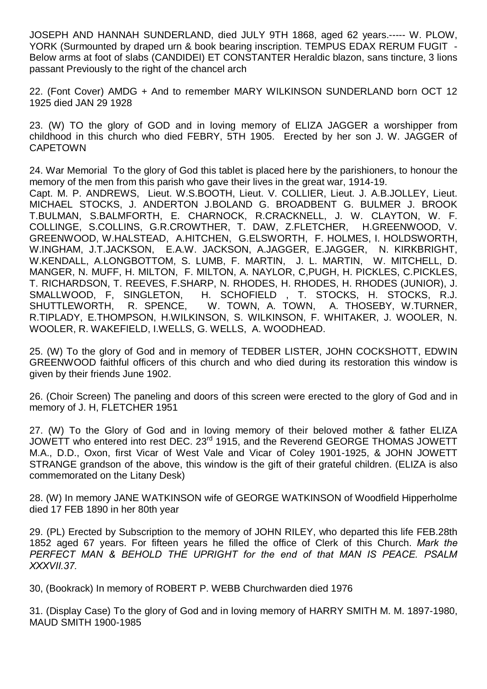JOSEPH AND HANNAH SUNDERLAND, died JULY 9TH 1868, aged 62 years.----- W. PLOW, YORK (Surmounted by draped urn & book bearing inscription. TEMPUS EDAX RERUM FUGIT -Below arms at foot of slabs (CANDIDEI) ET CONSTANTER Heraldic blazon, sans tincture, 3 lions passant Previously to the right of the chancel arch

22. (Font Cover) AMDG + And to remember MARY WILKINSON SUNDERLAND born OCT 12 1925 died JAN 29 1928

23. (W) TO the glory of GOD and in loving memory of ELIZA JAGGER a worshipper from childhood in this church who died FEBRY, 5TH 1905. Erected by her son J. W. JAGGER of CAPETOWN

24. War Memorial To the glory of God this tablet is placed here by the parishioners, to honour the memory of the men from this parish who gave their lives in the great war, 1914-19.

Capt. M. P. ANDREWS, Lieut. W.S.BOOTH, Lieut. V. COLLIER, Lieut. J. A.B.JOLLEY, Lieut. MICHAEL STOCKS, J. ANDERTON J.BOLAND G. BROADBENT G. BULMER J. BROOK T.BULMAN, S.BALMFORTH, E. CHARNOCK, R.CRACKNELL, J. W. CLAYTON, W. F. COLLINGE, S.COLLINS, G.R.CROWTHER, T. DAW, Z.FLETCHER, H.GREENWOOD, V. GREENWOOD, W.HALSTEAD, A.HITCHEN, G.ELSWORTH, F. HOLMES, I. HOLDSWORTH, W.INGHAM, J.T.JACKSON, E.A.W. JACKSON, A.JAGGER, E.JAGGER, N. KIRKBRIGHT, W.KENDALL, A.LONGBOTTOM, S. LUMB, F. MARTIN, J. L. MARTIN, W. MITCHELL, D. MANGER, N. MUFF, H. MILTON, F. MILTON, A. NAYLOR, C,PUGH, H. PICKLES, C.PICKLES, T. RICHARDSON, T. REEVES, F.SHARP, N. RHODES, H. RHODES, H. RHODES (JUNIOR), J. SMALLWOOD, F, SINGLETON, H. SCHOFIELD , T. STOCKS, H. STOCKS, R.J. SHUTTLEWORTH, R. SPENCE, W. TOWN, A. TOWN, A. THOSEBY, W.TURNER, R.TIPLADY, E.THOMPSON, H.WILKINSON, S. WILKINSON, F. WHITAKER, J. WOOLER, N. WOOLER, R. WAKEFIELD, I.WELLS, G. WELLS, A. WOODHEAD.

25. (W) To the glory of God and in memory of TEDBER LISTER, JOHN COCKSHOTT, EDWIN GREENWOOD faithful officers of this church and who died during its restoration this window is given by their friends June 1902.

26. (Choir Screen) The paneling and doors of this screen were erected to the glory of God and in memory of J. H, FLETCHER 1951

27. (W) To the Glory of God and in loving memory of their beloved mother & father ELIZA JOWETT who entered into rest DEC. 23<sup>rd</sup> 1915, and the Reverend GEORGE THOMAS JOWETT M.A., D.D., Oxon, first Vicar of West Vale and Vicar of Coley 1901-1925, & JOHN JOWETT STRANGE grandson of the above, this window is the gift of their grateful children. (ELIZA is also commemorated on the Litany Desk)

28. (W) In memory JANE WATKINSON wife of GEORGE WATKINSON of Woodfield Hipperholme died 17 FEB 1890 in her 80th year

29. (PL) Erected by Subscription to the memory of JOHN RILEY, who departed this life FEB.28th 1852 aged 67 years. For fifteen years he filled the office of Clerk of this Church. *Mark the PERFECT MAN & BEHOLD THE UPRIGHT for the end of that MAN IS PEACE. PSALM XXXVII.37.*

30, (Bookrack) In memory of ROBERT P. WEBB Churchwarden died 1976

31. (Display Case) To the glory of God and in loving memory of HARRY SMITH M. M. 1897-1980, MAUD SMITH 1900-1985